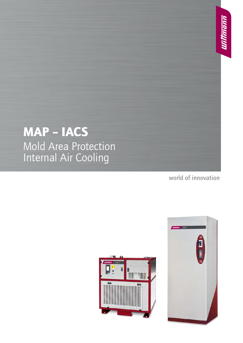# MAP – IACS Mold Area Protection Internal Air Cooling

world of innovation



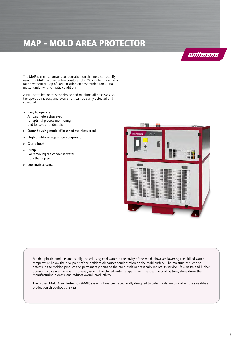## MAP – Mold Area Protector

### Willmann

The MAP is used to prevent condensation on the mold surface. By using the MAP, cold water temperatures of 6 °C can be run all year round without a drop of condensation on enshrouded tools – no matter under what climatic conditions.

A FIT controller controls the device and monitors all processes, so the operation is easy and even errors can be easily detected and corrected.

- » Easy to operate All parameters displayed for optimal process monitoring and to ease error detection.
- » Outer housing made of brushed stainless steel
- » High quality refrigeration compressor
- » Crane hook
- » Pump For removing the condense water from the drip pan.
- » Low maintenance



Molded plastic products are usually cooled using cold water in the cavity of the mold. However, lowering the chilled water temperature below the dew point of the ambient air causes condensation on the mold surface. The moisture can lead to defects in the molded product and permanently damage the mold itself or drastically reduce its service life – waste and higher operating costs are the result. However, raising the chilled water temperature increases the cooling time, slows down the manufacturing process, and reduces overall productivity.

The proven Mold Area Protection (MAP) systems have been specifically designed to dehumidify molds and ensure sweat-free production throughout the year.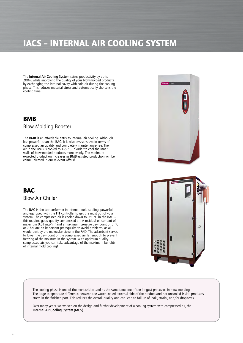### IACS – Internal Air Cooling SysteM

The Internal Air Cooling System raises productivity by up to 200% while improving the quality of your blow-molded products by exchanging the internal cavity with cold air during the cooling phase. This reduces material stress and automatically shortens the cooling time.

#### BMB

#### Blow Molding Booster

The BMB is an affordable entry to internal air cooling. Although less powerful than the BAC, it is also less sensitive in terms of compressed air quality and completely maintenance-free. The air in the BMB is cooled to 1–5 °C in order to cool the inner walls of blow-molded products more evenly. The minimum expected production increases in BMB-assisted production will be communicated in our relevant offers!





#### BAC Blow Air Chiller

The BAC is the top performer in internal mold cooling: powerful and equipped with the FIT controller to get the most out of your system. The compressed air is cooled down to -35 °C in the  $\mathsf{BAC}$  – this requires good quality compressed air. A residual oil content of maximum 0.01 mg/m<sup>3</sup> and a maximum pressure dew point of 5 °C at 7 bar are an important prerequisite to avoid problems, as oil would destroy the molecular sieve in the PAD. The adsorbent serves to lower the dew point of the compressed air far enough to prevent freezing of the moisture in the system. With optimum quality compressed air, you can take advantage of the maximum benefits of internal mold cooling!

The cooling phase is one of the most critical and at the same time one of the longest processes in blow molding. The large temperature difference between the water cooled external side of the product and hot uncooled inside produces stress in the finished part. This reduces the overall quality and can lead to failure of leak-, strain-, and/or drop-tests.

Over many years, we worked on the design and further development of a cooling system with compressed air, the Internal Air Cooling System (IACS).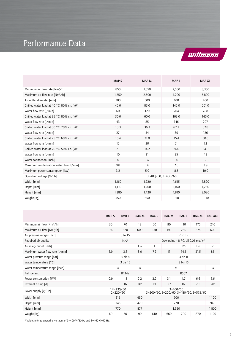## Performance Data



|                                            | <b>MAPS</b>   | <b>MAP M</b>   | <b>MAPL</b>        | <b>MAP XL</b>  |
|--------------------------------------------|---------------|----------------|--------------------|----------------|
| Minimum air flow rate [Nm <sup>3</sup> /h] | 850           | 1,650          | 2,500              | 3,300          |
| Maximum air flow rate $[Nm^3/h]$           | 1,250         | 2,500          | 4,200              | 5,800          |
| Air outlet diameter [mm]                   | 300           | 300            | 400                | 400            |
| Chilled water load at 40 °C, 80% r.h. [kW] | 42.0          | 83.0           | 142.0              | 201.0          |
| Water flow rate [I/min]                    | 60            | 120            | 204                | 288            |
| Chilled water load at 35 °C, 80% r.h. [kW] | 30.0          | 60.0           | 103.0              | 145.0          |
| Water flow rate [I/min]                    | 43            | 85             | 146                | 207            |
| Chilled water load at 30 °C, 70% r.h. [kW] | 18.3          | 36.3           | 62.2               | 87.8           |
| Water flow rate [I/min]                    | 27            | 54             | 89                 | 126            |
| Chilled water load at 25 °C, 60% r.h. [kW] | 10.4          | 21.0           | 35.4               | 50.0           |
| Water flow rate [I/min]                    | 15            | 30             | 51                 | 72             |
| Chilled water load at 20 °C, 50% r.h. [kW] | 7.1           | 14.2           | 24.0               | 34.0           |
| Water flow rate [I/min]                    | 10            | 21             | 35                 | 49             |
| Water connection [inch]                    | $\frac{3}{4}$ | $1\frac{1}{4}$ | $1\frac{1}{2}$     | $\overline{2}$ |
| Maximum condensation water flow [I/min]    | 0.8           | 1.6            | 2.8                | 3.9            |
| Maximum power consumption [kW]             | 3.2           | 5.0            | 8.5                | 10.0           |
| Operating voltage [V/Hz]                   |               |                | 3~400/50, 3~460/60 |                |
| Width [mm]                                 | 1,160         | 1,220          | 1,615              | 1,820          |
| Depth [mm]                                 | 1,110         | 1,260          | 1,160              | 1,260          |
| Height [mm]                                | 1,380         | 1,420          | 1,810              | 2,080          |
| Weight [kg]                                | 550           | 650            | 950                | 1,110          |

|                                       | <b>BMB S</b>  | <b>BMBL</b> | <b>BMB XL</b>   | <b>BAC S</b>    | <b>BAC M</b>                                    | <b>BACL</b>     | <b>BAC XL</b>   | <b>BAC XXL</b>  |
|---------------------------------------|---------------|-------------|-----------------|-----------------|-------------------------------------------------|-----------------|-----------------|-----------------|
| Minimum air flow [Nm <sup>3</sup> /h] | 30            | 70          | 12              | 60              | 90                                              | 110             | 175             | 240             |
| Maximum air flow $[Nm^3/h]$           | 160           | 320         | 600             | 130             | 190                                             | 250             | 375             | 600             |
| Air pressure rangey [bar]             |               | 6 to 15     |                 |                 |                                                 | 7 to 15         |                 |                 |
| Required air quality                  |               | N/A         |                 |                 | Dew point < $8 °C$ , oil 0.01 mg/m <sup>3</sup> |                 |                 |                 |
| Air inlet/outlet [inch]               |               |             | $1\frac{1}{2}$  | $\mathbf{1}$    | 1                                               | $1\frac{1}{2}$  | $1\frac{1}{2}$  | 2               |
| Maximum water flow rate $[1/min]$     | 1.9           | 3.8         | 8.0             | 7.2             | 11                                              | 14.5            | 21.5            | 85              |
| Water pressure range [bar]            |               | 3 bis 8     |                 |                 |                                                 | 3 bis 8         |                 |                 |
| Water temperature [°C]                |               | 3 bis 15    |                 |                 |                                                 | 3 bis 15        |                 |                 |
| Water temperature range [inch]        | $\frac{1}{2}$ |             | $\frac{3}{4}$   |                 |                                                 | $\frac{1}{2}$   |                 | $\frac{3}{4}$   |
| Refrigerant                           |               | R134a       |                 |                 |                                                 | R507            |                 |                 |
| Power consumption [kW]                | 0.9           | 1.8         | 2.2             | 2.2             | 3.1                                             | 4.7             | 6.6             | 6.6             |
| External fusing [A]                   | 10            | 16          | 10 <sup>1</sup> | 10 <sup>1</sup> | 16 <sup>1</sup>                                 | 16 <sup>1</sup> | 20 <sup>1</sup> | 20 <sup>1</sup> |
| Power supply [V/Hz]                   | 1N~230/50     | 2~220/60    |                 |                 | 3~200/50, 3~220/60, 3~480/60, 3~575/60          | $3 - 400 / 50$  |                 |                 |
| Width [mm]                            | 315           |             | 450             |                 |                                                 | 900             |                 | 1,100           |
| Depth [mm]                            | 345           |             | 420             |                 |                                                 | 770             |                 | 940             |
| Height [mm]                           | 770           |             | 877             |                 |                                                 | 1,650           |                 | 1,800           |
| Weight [kg]                           | 60            | 70          | 90              | 610             | 660                                             | 790             | 870             | 1,120           |

<sup>1</sup> Values refer to operating voltages of  $3 \sim 400$  V/50 Hz and  $3 \sim 460$  V/60 Hz.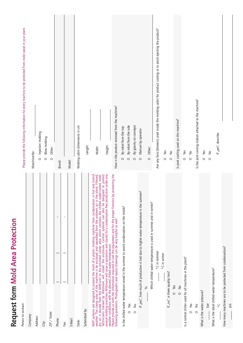| I             |
|---------------|
| $\frac{1}{2}$ |
| Orn           |
| i<br>ì        |
| J<br>Í        |

| Person to contact:                                                                                                                                                                                                                   | Please provide the following information for every machine to be protected from mold sweat in your plant    |
|--------------------------------------------------------------------------------------------------------------------------------------------------------------------------------------------------------------------------------------|-------------------------------------------------------------------------------------------------------------|
| Company:                                                                                                                                                                                                                             | Maschine-No:                                                                                                |
| Address:                                                                                                                                                                                                                             |                                                                                                             |
| City:                                                                                                                                                                                                                                | Injection molding<br>Blow molding<br>$\circ$<br>$\circ$                                                     |
| ZIP / State:                                                                                                                                                                                                                         | Other:<br>$\circ$                                                                                           |
| $\mathbf{I}$<br>Phone:                                                                                                                                                                                                               | Brand:                                                                                                      |
| $\mathbf{I}$<br>Fax:                                                                                                                                                                                                                 |                                                                                                             |
| E-Mail:                                                                                                                                                                                                                              | Model:                                                                                                      |
| Date:                                                                                                                                                                                                                                | Molding cabin dimensions in cm:                                                                             |
| Submitted by:                                                                                                                                                                                                                        | Length:                                                                                                     |
| MAP systems are designed to protect the mold of a plastic molding machine from condensation in hot and humid<br>weather. The clamp area of the machine is be enclosed and separated from the ambient air in the plant. Filtered,<br> | Width:                                                                                                      |
| several molding machines. Wittmann will issue a quotation and stands for a condensation free production under any<br>weather conditions with the desired chilled water temperature.                                                  | Height:                                                                                                     |
| Please provide us with the information required to size the equipment and for the proper function by answering the<br>following questions. Photographs and layout drawings can be very helpful as well.                              | How is the product removed from the machine?                                                                |
| Is the chilled water temperature raised in the summer to avoid condensation on the molds?                                                                                                                                            | By robot from the top<br>$\circ$                                                                            |
| Yes<br>$\circ$                                                                                                                                                                                                                       | By robot from the side<br>$\circ$                                                                           |
| $\frac{1}{2}$<br>$\circ$                                                                                                                                                                                                             | By gravity on conveyor<br>$\circ$                                                                           |
| If "yes", how much of production is lost due to higher water temperature in the summer?                                                                                                                                              | Manual by operator<br>$\circ$                                                                               |
| %                                                                                                                                                                                                                                    |                                                                                                             |
| Which chilled water temperature is used in summer and in winter?                                                                                                                                                                     | Other:<br>$\circ$                                                                                           |
| °C in sommer                                                                                                                                                                                                                         | Are any fans (blowers) used inside the molding cabin for product cooling or to assist ejecting the product? |
| °C in winter                                                                                                                                                                                                                         | Yes<br>$\circ$                                                                                              |
| If $_{n}$ no", is there quality loss?                                                                                                                                                                                                | O No                                                                                                        |
| Yes<br>$\circ$                                                                                                                                                                                                                       | Is post cooling used on this machine?                                                                       |
| O No                                                                                                                                                                                                                                 |                                                                                                             |
| Is a central chiller used for all machines in the plant?                                                                                                                                                                             | Yes<br>$\circ$                                                                                              |
| Yes<br>$\circ$                                                                                                                                                                                                                       | $\frac{1}{2}$<br>$\circ$                                                                                    |
| $\frac{1}{2}$<br>$\circ$                                                                                                                                                                                                             | Is the post cooling station attached to the machine?                                                        |
| What is the water pressure?                                                                                                                                                                                                          | Yes<br>$\circ$                                                                                              |
| har                                                                                                                                                                                                                                  | $\frac{1}{2}$<br>$\circ$                                                                                    |
| What is the ideal chilled water temperature?<br>ں<br>ہ                                                                                                                                                                               | If "yes", describe:                                                                                         |
|                                                                                                                                                                                                                                      |                                                                                                             |

°C<br>How many machines are to be protected from condensation?<br>——————— pcs \_\_\_\_\_ pcs

How many machines are to be protected from condensation?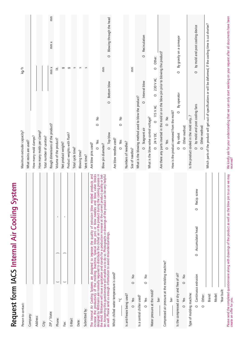| Person to contact                                                                                                                                                                                                                 | kg/h<br>Maximum extruder capacity?                                                                                                      |                          |
|-----------------------------------------------------------------------------------------------------------------------------------------------------------------------------------------------------------------------------------|-----------------------------------------------------------------------------------------------------------------------------------------|--------------------------|
| Company:                                                                                                                                                                                                                          | What resins are used?                                                                                                                   |                          |
| Address:                                                                                                                                                                                                                          | How many mold clamps?                                                                                                                   |                          |
|                                                                                                                                                                                                                                   | How many molds per clamp?                                                                                                               |                          |
| City:                                                                                                                                                                                                                             | Total number of cavities?                                                                                                               |                          |
| ZIP / State:                                                                                                                                                                                                                      | $mm \times$<br>$mm \times$<br>Rough dimensions of the product?                                                                          | mm                       |
| $\mathbf{I}$<br>Phone:                                                                                                                                                                                                            | 兰<br>Volume of the product?                                                                                                             |                          |
| I.<br>Fax:                                                                                                                                                                                                                        | G<br>Net product weight?                                                                                                                |                          |
| E-Mail:                                                                                                                                                                                                                           | G<br>Product weights with flash?                                                                                                        |                          |
|                                                                                                                                                                                                                                   | S<br>Total cycle time?                                                                                                                  |                          |
| Date:                                                                                                                                                                                                                             | $\mathsf{S}$<br>Blowing time?                                                                                                           |                          |
| Submitted by                                                                                                                                                                                                                      | S<br>Vent time?                                                                                                                         |                          |
| The Internal Air Cooling Systems are designed to improve the quality of extrusion blow molded products and                                                                                                                        | Are blow pins used?                                                                                                                     |                          |
|                                                                                                                                                                                                                                   | å<br>$\circ$<br>O Yes                                                                                                                   |                          |
| increase the productivity of the molding machine. Special blow pins or blow needles and blow valve blocks<br>designed by Wittmann are normally required to distribute the chilled air in the product during the cooling process i | $\frac{1}{2}$<br>Blow pin diameter?                                                                                                     |                          |
| as well. Please send us enough information to avoid misunderstandings.                                                                                                                                                            | $\circ$<br>Bottom blow<br>$\circ$<br>Top blow<br>$\circ$                                                                                | Blowing through the head |
| Which chilled water temperature is used?                                                                                                                                                                                          | Are blow needles used?                                                                                                                  |                          |
| ပ္စ                                                                                                                                                                                                                               | $\frac{1}{2}$<br>$\circ$<br>Yes<br>$\circ$                                                                                              |                          |
| Is anti-freeze being used?                                                                                                                                                                                                        | Numbers of needles?                                                                                                                     |                          |
| $\frac{1}{2}$<br>$\circ$<br>Yes<br>$\circ$                                                                                                                                                                                        | mm<br>Size of needles?                                                                                                                  |                          |
| Is a central chiller used?                                                                                                                                                                                                        | What is the blowing method used to blow the product?                                                                                    |                          |
| $\frac{1}{2}$<br>$\circ$<br>Yes<br>$\circ$                                                                                                                                                                                        | Recirculation<br>$\circ$<br>O Interval blow<br>Stagnant air<br>$\circ$                                                                  |                          |
| Water pressure at the mold?                                                                                                                                                                                                       | What is the blow valve control voltage?                                                                                                 |                          |
| hār                                                                                                                                                                                                                               | Other:<br>$\circ$<br>230 V AC<br>$\circ$<br><b>O 115 VAC</b><br>24 V DC<br>$\circ$                                                      |                          |
| Compressed air pressure at the molding machine?                                                                                                                                                                                   | Are there any parts inserted in the mold or on the blow pin prior to blowing the product?<br>$\frac{1}{2}$<br>$\circ$<br>Yes<br>$\circ$ |                          |
| Jar                                                                                                                                                                                                                               | How is the product removed from the mold?                                                                                               |                          |
| is the compressed air dry and free of oil?                                                                                                                                                                                        | By gravity on a conveyor<br>$\circ$<br>By operator<br>$\circ$<br>By robot<br>$\circ$                                                    |                          |
| å<br>$\circ$<br>Yes<br>$\circ$                                                                                                                                                                                                    | Other method:<br>$\circ$                                                                                                                |                          |
| Type of molding machine:                                                                                                                                                                                                          | Is the product cooled in the mold only?                                                                                                 |                          |
| Recip. screw<br>$\circ$<br>Accumulator head<br>$\circ$<br>Continuous extrusion<br>$\circ$                                                                                                                                         | by mold and post cooling device<br>$\circ$<br>by mold and post cooling fans<br>$\circ$                                                  |                          |
| Other:<br>$\circ$                                                                                                                                                                                                                 | Other method:<br>$\circ$                                                                                                                |                          |
| Brand:                                                                                                                                                                                                                            | Which parts of the product will get out of specifications or will be deformed, if the cooling time is cut shorter?                      |                          |
| Model:                                                                                                                                                                                                                            |                                                                                                                                         |                          |
| Year built:                                                                                                                                                                                                                       |                                                                                                                                         |                          |
| to us so we may<br>Please send the completed questionnaire along with drawings of the product as well as the blow pin<br>create an offer for you.                                                                                 | We kindly ask for your understanding that we can only start working on your request after all documents have been<br>received!          |                          |

Request form IACS

Internal Air Cooling System

Request form IACS Internal Air Cooling System